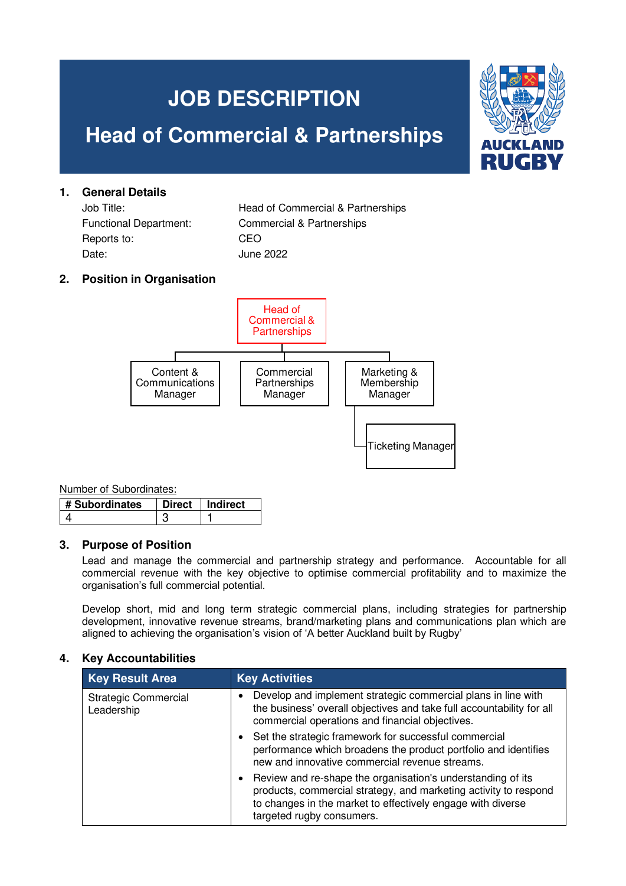# **JOB DESCRIPTION Head of Commercial & Partnerships** I d R

| 1. | <b>General Details</b>        |                                   |  |  |  |
|----|-------------------------------|-----------------------------------|--|--|--|
|    | Job Title:                    | Head of Commercial & Partnerships |  |  |  |
|    | <b>Functional Department:</b> | Commercial & Partnerships         |  |  |  |
|    | Reports to:                   | CEO                               |  |  |  |
|    | Date:                         | June 2022                         |  |  |  |
|    |                               |                                   |  |  |  |

## **2. Position in Organisation**



Number of Subordinates:

| # Subordinates | $\Omega$ irect | Indirect |
|----------------|----------------|----------|
|                |                |          |

#### **3. Purpose of Position**

Lead and manage the commercial and partnership strategy and performance. Accountable for all commercial revenue with the key objective to optimise commercial profitability and to maximize the organisation's full commercial potential.

Develop short, mid and long term strategic commercial plans, including strategies for partnership development, innovative revenue streams, brand/marketing plans and communications plan which are aligned to achieving the organisation's vision of 'A better Auckland built by Rugby'

#### **4. Key Accountabilities**

| <b>Key Result Area</b>                    | <b>Key Activities</b>                                                                                                                                                                                                                    |
|-------------------------------------------|------------------------------------------------------------------------------------------------------------------------------------------------------------------------------------------------------------------------------------------|
| <b>Strategic Commercial</b><br>Leadership | Develop and implement strategic commercial plans in line with<br>the business' overall objectives and take full accountability for all<br>commercial operations and financial objectives.                                                |
|                                           | Set the strategic framework for successful commercial<br>$\bullet$<br>performance which broadens the product portfolio and identifies<br>new and innovative commercial revenue streams.                                                  |
|                                           | Review and re-shape the organisation's understanding of its<br>$\bullet$<br>products, commercial strategy, and marketing activity to respond<br>to changes in the market to effectively engage with diverse<br>targeted rugby consumers. |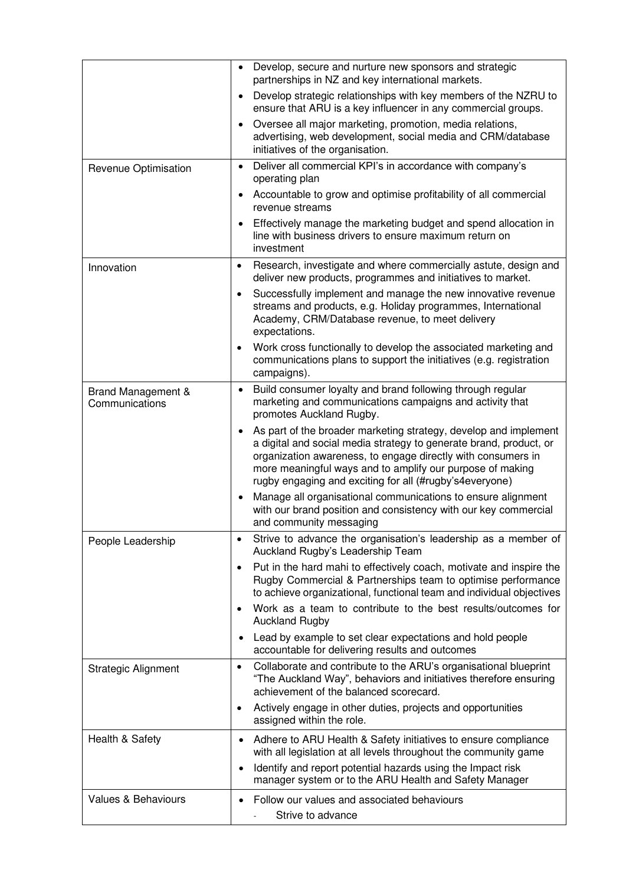|                                      | $\bullet$              | Develop, secure and nurture new sponsors and strategic<br>partnerships in NZ and key international markets.                                                                                                                                                                                                                    |
|--------------------------------------|------------------------|--------------------------------------------------------------------------------------------------------------------------------------------------------------------------------------------------------------------------------------------------------------------------------------------------------------------------------|
|                                      | $\bullet$              | Develop strategic relationships with key members of the NZRU to<br>ensure that ARU is a key influencer in any commercial groups.                                                                                                                                                                                               |
|                                      | $\bullet$              | Oversee all major marketing, promotion, media relations,<br>advertising, web development, social media and CRM/database<br>initiatives of the organisation.                                                                                                                                                                    |
| Revenue Optimisation                 | $\bullet$              | Deliver all commercial KPI's in accordance with company's<br>operating plan                                                                                                                                                                                                                                                    |
|                                      | $\bullet$              | Accountable to grow and optimise profitability of all commercial<br>revenue streams                                                                                                                                                                                                                                            |
|                                      | $\bullet$              | Effectively manage the marketing budget and spend allocation in<br>line with business drivers to ensure maximum return on<br>investment                                                                                                                                                                                        |
| Innovation                           | $\bullet$              | Research, investigate and where commercially astute, design and<br>deliver new products, programmes and initiatives to market.                                                                                                                                                                                                 |
|                                      | $\bullet$              | Successfully implement and manage the new innovative revenue<br>streams and products, e.g. Holiday programmes, International<br>Academy, CRM/Database revenue, to meet delivery<br>expectations.                                                                                                                               |
|                                      | $\bullet$              | Work cross functionally to develop the associated marketing and<br>communications plans to support the initiatives (e.g. registration<br>campaigns).                                                                                                                                                                           |
| Brand Management &<br>Communications | $\bullet$              | Build consumer loyalty and brand following through regular<br>marketing and communications campaigns and activity that<br>promotes Auckland Rugby.                                                                                                                                                                             |
|                                      | $\bullet$              | As part of the broader marketing strategy, develop and implement<br>a digital and social media strategy to generate brand, product, or<br>organization awareness, to engage directly with consumers in<br>more meaningful ways and to amplify our purpose of making<br>rugby engaging and exciting for all (#rugby's4everyone) |
|                                      | $\bullet$              | Manage all organisational communications to ensure alignment<br>with our brand position and consistency with our key commercial<br>and community messaging                                                                                                                                                                     |
| People Leadership                    | $\bullet$              | Strive to advance the organisation's leadership as a member of<br>Auckland Rugby's Leadership Team                                                                                                                                                                                                                             |
|                                      | $\bullet$              | Put in the hard mahi to effectively coach, motivate and inspire the<br>Rugby Commercial & Partnerships team to optimise performance<br>to achieve organizational, functional team and individual objectives                                                                                                                    |
|                                      | ٠                      | Work as a team to contribute to the best results/outcomes for<br><b>Auckland Rugby</b>                                                                                                                                                                                                                                         |
|                                      | $\bullet$              | Lead by example to set clear expectations and hold people<br>accountable for delivering results and outcomes                                                                                                                                                                                                                   |
| <b>Strategic Alignment</b>           | $\bullet$              | Collaborate and contribute to the ARU's organisational blueprint<br>"The Auckland Way", behaviors and initiatives therefore ensuring<br>achievement of the balanced scorecard.                                                                                                                                                 |
|                                      | ٠                      | Actively engage in other duties, projects and opportunities<br>assigned within the role.                                                                                                                                                                                                                                       |
| Health & Safety                      | $\bullet$<br>$\bullet$ | Adhere to ARU Health & Safety initiatives to ensure compliance<br>with all legislation at all levels throughout the community game<br>Identify and report potential hazards using the Impact risk<br>manager system or to the ARU Health and Safety Manager                                                                    |
| Values & Behaviours                  | $\bullet$              | Follow our values and associated behaviours<br>Strive to advance                                                                                                                                                                                                                                                               |